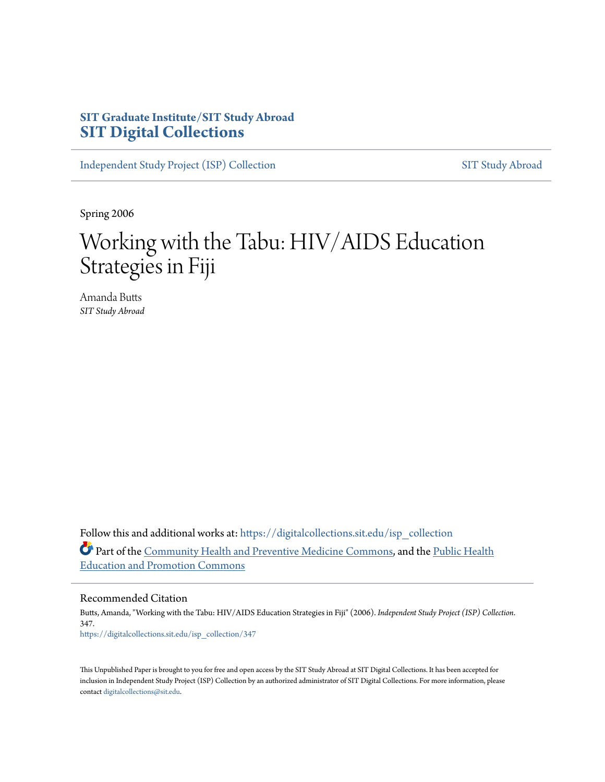# **SIT Graduate Institute/SIT Study Abroad [SIT Digital Collections](https://digitalcollections.sit.edu?utm_source=digitalcollections.sit.edu%2Fisp_collection%2F347&utm_medium=PDF&utm_campaign=PDFCoverPages)**

[Independent Study Project \(ISP\) Collection](https://digitalcollections.sit.edu/isp_collection?utm_source=digitalcollections.sit.edu%2Fisp_collection%2F347&utm_medium=PDF&utm_campaign=PDFCoverPages) [SIT Study Abroad](https://digitalcollections.sit.edu/study_abroad?utm_source=digitalcollections.sit.edu%2Fisp_collection%2F347&utm_medium=PDF&utm_campaign=PDFCoverPages)

Spring 2006

# Working with the Tabu: HIV/AIDS Education Strategies in Fiji

Amanda Butts *SIT Study Abroad*

Follow this and additional works at: [https://digitalcollections.sit.edu/isp\\_collection](https://digitalcollections.sit.edu/isp_collection?utm_source=digitalcollections.sit.edu%2Fisp_collection%2F347&utm_medium=PDF&utm_campaign=PDFCoverPages) Part of the [Community Health and Preventive Medicine Commons,](http://network.bepress.com/hgg/discipline/744?utm_source=digitalcollections.sit.edu%2Fisp_collection%2F347&utm_medium=PDF&utm_campaign=PDFCoverPages) and the [Public Health](http://network.bepress.com/hgg/discipline/743?utm_source=digitalcollections.sit.edu%2Fisp_collection%2F347&utm_medium=PDF&utm_campaign=PDFCoverPages) [Education and Promotion Commons](http://network.bepress.com/hgg/discipline/743?utm_source=digitalcollections.sit.edu%2Fisp_collection%2F347&utm_medium=PDF&utm_campaign=PDFCoverPages)

Recommended Citation

Butts, Amanda, "Working with the Tabu: HIV/AIDS Education Strategies in Fiji" (2006). *Independent Study Project (ISP) Collection*. 347. [https://digitalcollections.sit.edu/isp\\_collection/347](https://digitalcollections.sit.edu/isp_collection/347?utm_source=digitalcollections.sit.edu%2Fisp_collection%2F347&utm_medium=PDF&utm_campaign=PDFCoverPages)

This Unpublished Paper is brought to you for free and open access by the SIT Study Abroad at SIT Digital Collections. It has been accepted for inclusion in Independent Study Project (ISP) Collection by an authorized administrator of SIT Digital Collections. For more information, please contact [digitalcollections@sit.edu](mailto:digitalcollections@sit.edu).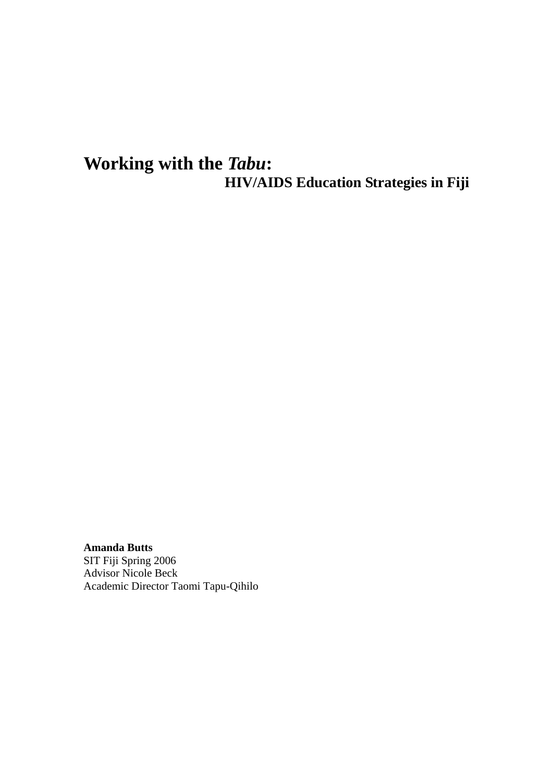# **Working with the** *Tabu***: HIV/AIDS Education Strategies in Fiji**

**Amanda Butts**  SIT Fiji Spring 2006 Advisor Nicole Beck Academic Director Taomi Tapu-Qihilo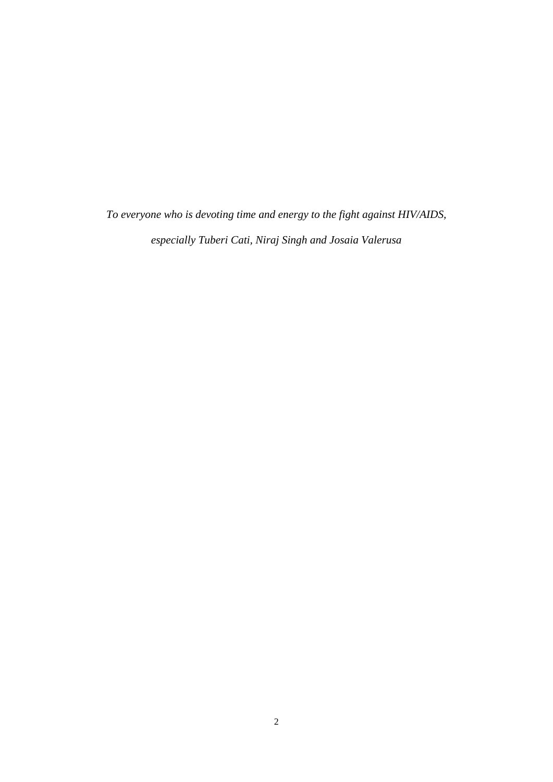*To everyone who is devoting time and energy to the fight against HIV/AIDS, especially Tuberi Cati, Niraj Singh and Josaia Valerusa*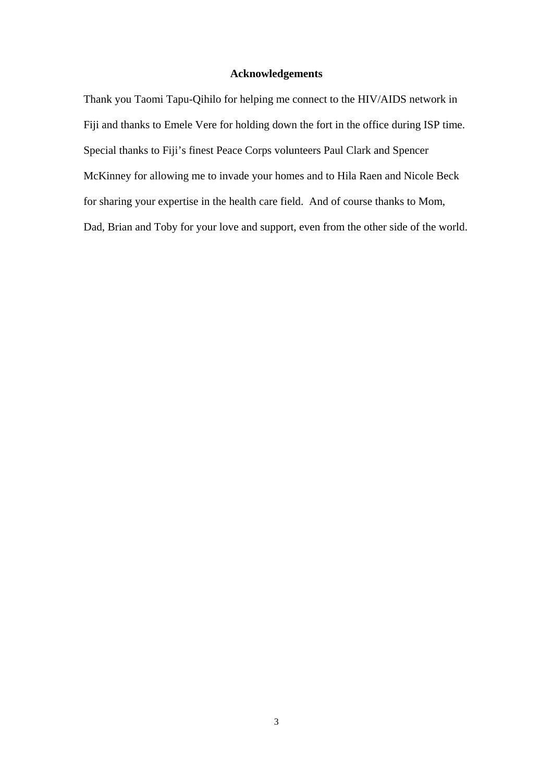#### **Acknowledgements**

Thank you Taomi Tapu-Qihilo for helping me connect to the HIV/AIDS network in Fiji and thanks to Emele Vere for holding down the fort in the office during ISP time. Special thanks to Fiji's finest Peace Corps volunteers Paul Clark and Spencer McKinney for allowing me to invade your homes and to Hila Raen and Nicole Beck for sharing your expertise in the health care field. And of course thanks to Mom, Dad, Brian and Toby for your love and support, even from the other side of the world.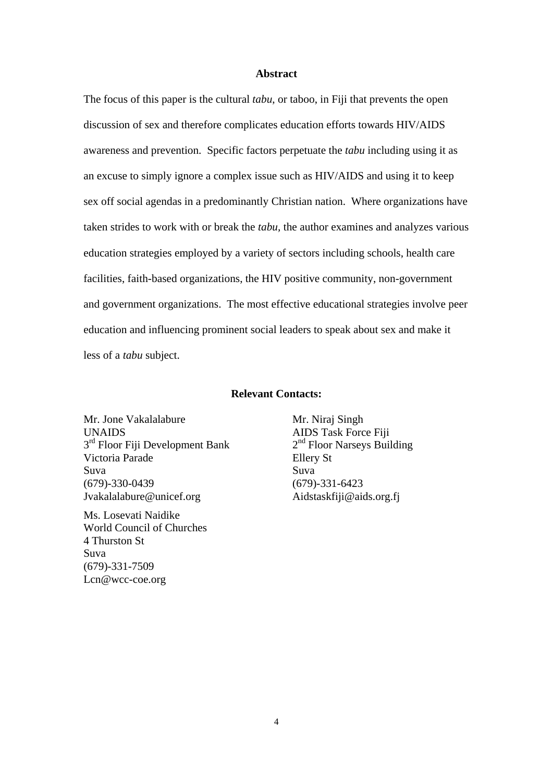#### **Abstract**

The focus of this paper is the cultural *tabu*, or taboo, in Fiji that prevents the open discussion of sex and therefore complicates education efforts towards HIV/AIDS awareness and prevention. Specific factors perpetuate the *tabu* including using it as an excuse to simply ignore a complex issue such as HIV/AIDS and using it to keep sex off social agendas in a predominantly Christian nation. Where organizations have taken strides to work with or break the *tabu,* the author examines and analyzes various education strategies employed by a variety of sectors including schools, health care facilities, faith-based organizations, the HIV positive community, non-government and government organizations. The most effective educational strategies involve peer education and influencing prominent social leaders to speak about sex and make it less of a *tabu* subject.

#### **Relevant Contacts:**

Mr. Jone Vakalalabure UNAIDS  $3<sup>rd</sup>$  Floor Fiji Development Bank Victoria Parade Suva (679)-330-0439 Jvakalalabure@unicef.org

Ms. Losevati Naidike World Council of Churches 4 Thurston St Suva (679)-331-7509 Lcn@wcc-coe.org

Mr. Niraj Singh AIDS Task Force Fiji 2<sup>nd</sup> Floor Narseys Building Ellery St Suva (679)-331-6423 Aidstaskfiji@aids.org.fj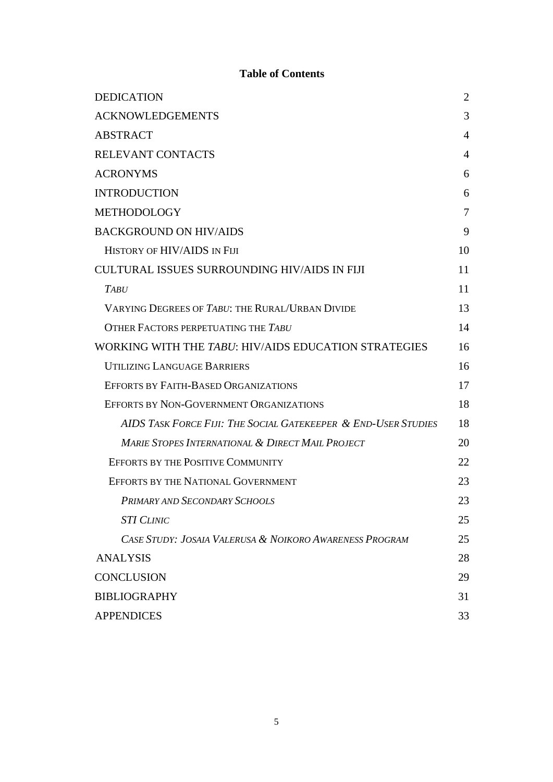# **Table of Contents**

| <b>DEDICATION</b>                                              | $\overline{2}$ |
|----------------------------------------------------------------|----------------|
| <b>ACKNOWLEDGEMENTS</b>                                        | 3              |
| <b>ABSTRACT</b>                                                | 4              |
| RELEVANT CONTACTS                                              | 4              |
| <b>ACRONYMS</b>                                                | 6              |
| <b>INTRODUCTION</b>                                            | 6              |
| <b>METHODOLOGY</b>                                             | 7              |
| <b>BACKGROUND ON HIV/AIDS</b>                                  | 9              |
| HISTORY OF HIV/AIDS IN FIJI                                    | 10             |
| <b>CULTURAL ISSUES SURROUNDING HIV/AIDS IN FIJI</b>            | 11             |
| <b>TABU</b>                                                    | 11             |
| VARYING DEGREES OF TABU: THE RURAL/URBAN DIVIDE                | 13             |
| OTHER FACTORS PERPETUATING THE TABU                            | 14             |
| WORKING WITH THE TABU: HIV/AIDS EDUCATION STRATEGIES           | 16             |
| <b>UTILIZING LANGUAGE BARRIERS</b>                             | 16             |
| <b>EFFORTS BY FAITH-BASED ORGANIZATIONS</b>                    | 17             |
| EFFORTS BY NON-GOVERNMENT ORGANIZATIONS                        | 18             |
| AIDS TASK FORCE FIJI: THE SOCIAL GATEKEEPER & END-USER STUDIES | 18             |
| <b>MARIE STOPES INTERNATIONAL &amp; DIRECT MAIL PROJECT</b>    | 20             |
| <b>EFFORTS BY THE POSITIVE COMMUNITY</b>                       | 22             |
| EFFORTS BY THE NATIONAL GOVERNMENT                             | 23             |
| PRIMARY AND SECONDARY SCHOOLS                                  | 23             |
| <b>STI CLINIC</b>                                              | 25             |
| CASE STUDY: JOSAIA VALERUSA & NOIKORO AWARENESS PROGRAM        | 25             |
| <b>ANALYSIS</b>                                                | 28             |
| <b>CONCLUSION</b>                                              | 29             |
| <b>BIBLIOGRAPHY</b>                                            | 31             |
| <b>APPENDICES</b>                                              | 33             |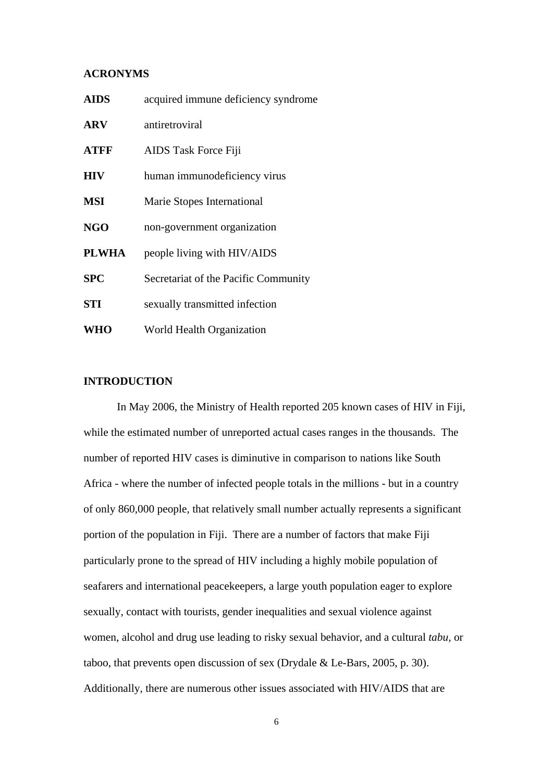#### **ACRONYMS**

| <b>AIDS</b>  | acquired immune deficiency syndrome  |
|--------------|--------------------------------------|
| <b>ARV</b>   | antiretroviral                       |
| <b>ATFF</b>  | AIDS Task Force Fiji                 |
| <b>HIV</b>   | human immunodeficiency virus         |
| <b>MSI</b>   | Marie Stopes International           |
| <b>NGO</b>   | non-government organization          |
| <b>PLWHA</b> | people living with HIV/AIDS          |
| <b>SPC</b>   | Secretariat of the Pacific Community |
| <b>STI</b>   | sexually transmitted infection       |
| <b>WHO</b>   | World Health Organization            |

#### **INTRODUCTION**

 In May 2006, the Ministry of Health reported 205 known cases of HIV in Fiji, while the estimated number of unreported actual cases ranges in the thousands. The number of reported HIV cases is diminutive in comparison to nations like South Africa - where the number of infected people totals in the millions - but in a country of only 860,000 people, that relatively small number actually represents a significant portion of the population in Fiji. There are a number of factors that make Fiji particularly prone to the spread of HIV including a highly mobile population of seafarers and international peacekeepers, a large youth population eager to explore sexually, contact with tourists, gender inequalities and sexual violence against women, alcohol and drug use leading to risky sexual behavior, and a cultural *tabu,* or taboo, that prevents open discussion of sex (Drydale & Le-Bars, 2005, p. 30). Additionally, there are numerous other issues associated with HIV/AIDS that are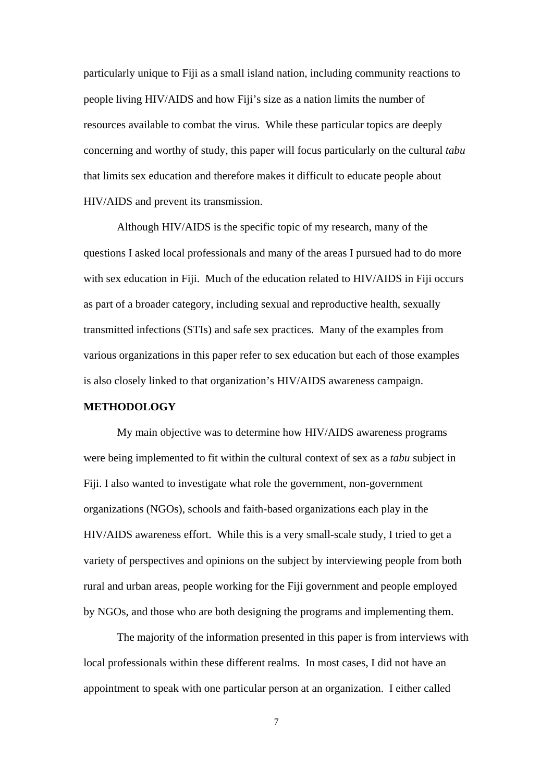particularly unique to Fiji as a small island nation, including community reactions to people living HIV/AIDS and how Fiji's size as a nation limits the number of resources available to combat the virus. While these particular topics are deeply concerning and worthy of study, this paper will focus particularly on the cultural *tabu*  that limits sex education and therefore makes it difficult to educate people about HIV/AIDS and prevent its transmission.

 Although HIV/AIDS is the specific topic of my research, many of the questions I asked local professionals and many of the areas I pursued had to do more with sex education in Fiji. Much of the education related to HIV/AIDS in Fiji occurs as part of a broader category, including sexual and reproductive health, sexually transmitted infections (STIs) and safe sex practices. Many of the examples from various organizations in this paper refer to sex education but each of those examples is also closely linked to that organization's HIV/AIDS awareness campaign.

#### **METHODOLOGY**

My main objective was to determine how HIV/AIDS awareness programs were being implemented to fit within the cultural context of sex as a *tabu* subject in Fiji. I also wanted to investigate what role the government, non-government organizations (NGOs), schools and faith-based organizations each play in the HIV/AIDS awareness effort. While this is a very small-scale study, I tried to get a variety of perspectives and opinions on the subject by interviewing people from both rural and urban areas, people working for the Fiji government and people employed by NGOs, and those who are both designing the programs and implementing them.

The majority of the information presented in this paper is from interviews with local professionals within these different realms. In most cases, I did not have an appointment to speak with one particular person at an organization. I either called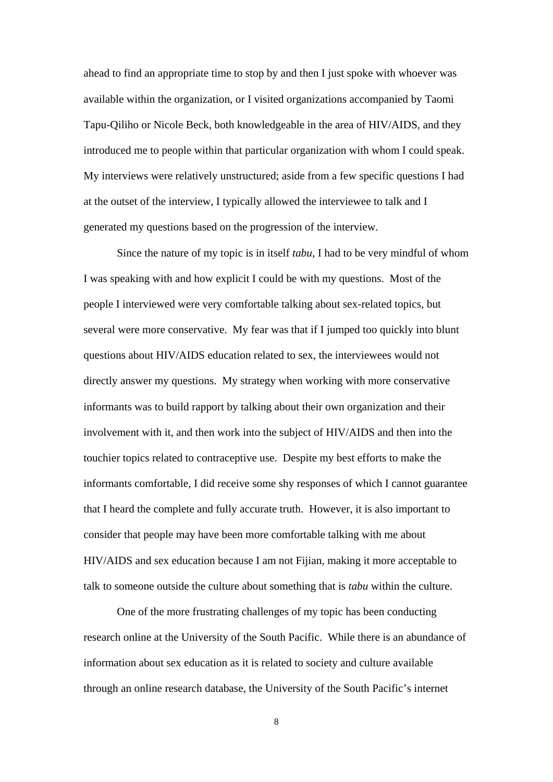ahead to find an appropriate time to stop by and then I just spoke with whoever was available within the organization, or I visited organizations accompanied by Taomi Tapu-Qiliho or Nicole Beck, both knowledgeable in the area of HIV/AIDS, and they introduced me to people within that particular organization with whom I could speak. My interviews were relatively unstructured; aside from a few specific questions I had at the outset of the interview, I typically allowed the interviewee to talk and I generated my questions based on the progression of the interview.

Since the nature of my topic is in itself *tabu*, I had to be very mindful of whom I was speaking with and how explicit I could be with my questions. Most of the people I interviewed were very comfortable talking about sex-related topics, but several were more conservative. My fear was that if I jumped too quickly into blunt questions about HIV/AIDS education related to sex, the interviewees would not directly answer my questions. My strategy when working with more conservative informants was to build rapport by talking about their own organization and their involvement with it, and then work into the subject of HIV/AIDS and then into the touchier topics related to contraceptive use. Despite my best efforts to make the informants comfortable, I did receive some shy responses of which I cannot guarantee that I heard the complete and fully accurate truth. However, it is also important to consider that people may have been more comfortable talking with me about HIV/AIDS and sex education because I am not Fijian, making it more acceptable to talk to someone outside the culture about something that is *tabu* within the culture.

 One of the more frustrating challenges of my topic has been conducting research online at the University of the South Pacific. While there is an abundance of information about sex education as it is related to society and culture available through an online research database, the University of the South Pacific's internet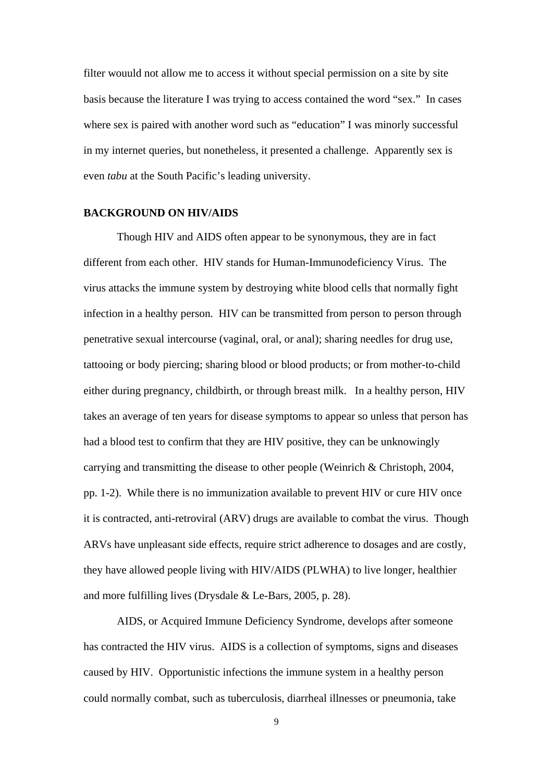filter wouuld not allow me to access it without special permission on a site by site basis because the literature I was trying to access contained the word "sex." In cases where sex is paired with another word such as "education" I was minorly successful in my internet queries, but nonetheless, it presented a challenge. Apparently sex is even *tabu* at the South Pacific's leading university.

#### **BACKGROUND ON HIV/AIDS**

Though HIV and AIDS often appear to be synonymous, they are in fact different from each other. HIV stands for Human-Immunodeficiency Virus. The virus attacks the immune system by destroying white blood cells that normally fight infection in a healthy person. HIV can be transmitted from person to person through penetrative sexual intercourse (vaginal, oral, or anal); sharing needles for drug use, tattooing or body piercing; sharing blood or blood products; or from mother-to-child either during pregnancy, childbirth, or through breast milk. In a healthy person, HIV takes an average of ten years for disease symptoms to appear so unless that person has had a blood test to confirm that they are HIV positive, they can be unknowingly carrying and transmitting the disease to other people (Weinrich & Christoph, 2004, pp. 1-2). While there is no immunization available to prevent HIV or cure HIV once it is contracted, anti-retroviral (ARV) drugs are available to combat the virus. Though ARVs have unpleasant side effects, require strict adherence to dosages and are costly, they have allowed people living with HIV/AIDS (PLWHA) to live longer, healthier and more fulfilling lives (Drysdale & Le-Bars, 2005, p. 28).

AIDS, or Acquired Immune Deficiency Syndrome, develops after someone has contracted the HIV virus. AIDS is a collection of symptoms, signs and diseases caused by HIV. Opportunistic infections the immune system in a healthy person could normally combat, such as tuberculosis, diarrheal illnesses or pneumonia, take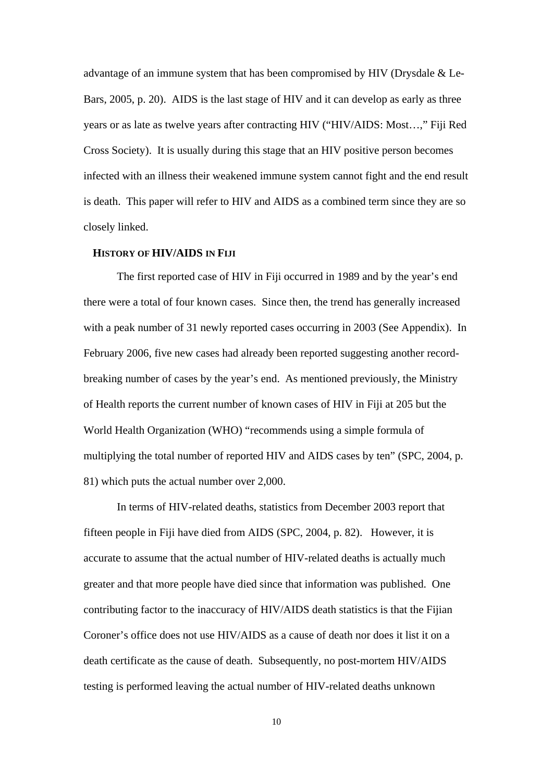advantage of an immune system that has been compromised by HIV (Drysdale & Le-Bars, 2005, p. 20). AIDS is the last stage of HIV and it can develop as early as three years or as late as twelve years after contracting HIV ("HIV/AIDS: Most…," Fiji Red Cross Society). It is usually during this stage that an HIV positive person becomes infected with an illness their weakened immune system cannot fight and the end result is death. This paper will refer to HIV and AIDS as a combined term since they are so closely linked.

#### **HISTORY OF HIV/AIDS IN FIJI**

 The first reported case of HIV in Fiji occurred in 1989 and by the year's end there were a total of four known cases. Since then, the trend has generally increased with a peak number of 31 newly reported cases occurring in 2003 (See Appendix). In February 2006, five new cases had already been reported suggesting another recordbreaking number of cases by the year's end. As mentioned previously, the Ministry of Health reports the current number of known cases of HIV in Fiji at 205 but the World Health Organization (WHO) "recommends using a simple formula of multiplying the total number of reported HIV and AIDS cases by ten" (SPC, 2004, p. 81) which puts the actual number over 2,000.

In terms of HIV-related deaths, statistics from December 2003 report that fifteen people in Fiji have died from AIDS (SPC, 2004, p. 82). However, it is accurate to assume that the actual number of HIV-related deaths is actually much greater and that more people have died since that information was published. One contributing factor to the inaccuracy of HIV/AIDS death statistics is that the Fijian Coroner's office does not use HIV/AIDS as a cause of death nor does it list it on a death certificate as the cause of death. Subsequently, no post-mortem HIV/AIDS testing is performed leaving the actual number of HIV-related deaths unknown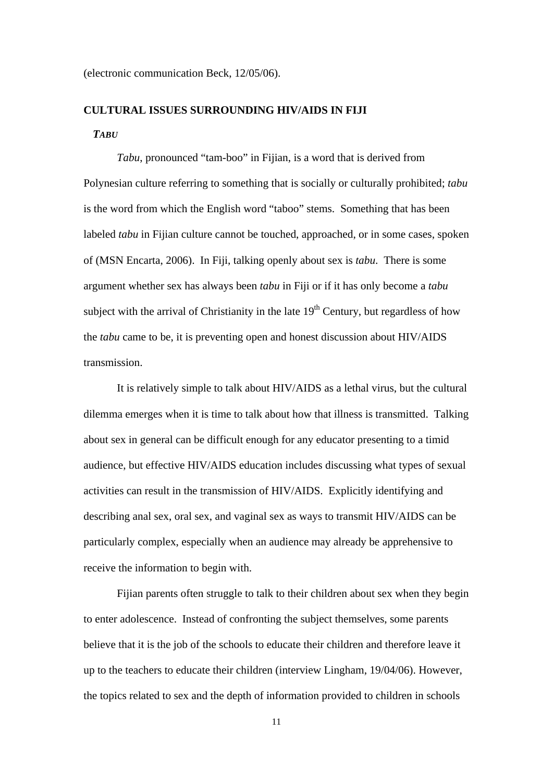(electronic communication Beck, 12/05/06).

# **CULTURAL ISSUES SURROUNDING HIV/AIDS IN FIJI**  *TABU*

*Tabu*, pronounced "tam-boo" in Fijian, is a word that is derived from Polynesian culture referring to something that is socially or culturally prohibited; *tabu*  is the word from which the English word "taboo" stems. Something that has been labeled *tabu* in Fijian culture cannot be touched, approached, or in some cases, spoken of (MSN Encarta, 2006). In Fiji, talking openly about sex is *tabu*. There is some argument whether sex has always been *tabu* in Fiji or if it has only become a *tabu* subject with the arrival of Christianity in the late  $19<sup>th</sup>$  Century, but regardless of how the *tabu* came to be, it is preventing open and honest discussion about HIV/AIDS transmission.

It is relatively simple to talk about HIV/AIDS as a lethal virus, but the cultural dilemma emerges when it is time to talk about how that illness is transmitted. Talking about sex in general can be difficult enough for any educator presenting to a timid audience, but effective HIV/AIDS education includes discussing what types of sexual activities can result in the transmission of HIV/AIDS. Explicitly identifying and describing anal sex, oral sex, and vaginal sex as ways to transmit HIV/AIDS can be particularly complex, especially when an audience may already be apprehensive to receive the information to begin with.

Fijian parents often struggle to talk to their children about sex when they begin to enter adolescence. Instead of confronting the subject themselves, some parents believe that it is the job of the schools to educate their children and therefore leave it up to the teachers to educate their children (interview Lingham, 19/04/06). However, the topics related to sex and the depth of information provided to children in schools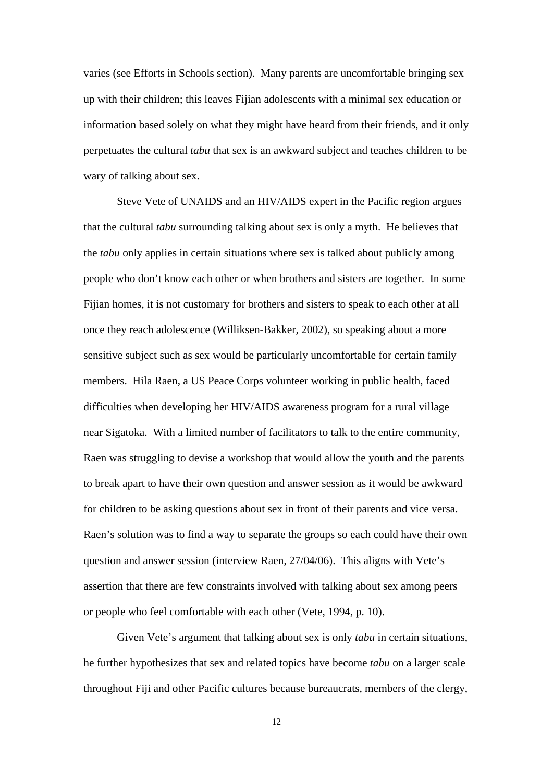varies (see Efforts in Schools section). Many parents are uncomfortable bringing sex up with their children; this leaves Fijian adolescents with a minimal sex education or information based solely on what they might have heard from their friends, and it only perpetuates the cultural *tabu* that sex is an awkward subject and teaches children to be wary of talking about sex.

Steve Vete of UNAIDS and an HIV/AIDS expert in the Pacific region argues that the cultural *tabu* surrounding talking about sex is only a myth. He believes that the *tabu* only applies in certain situations where sex is talked about publicly among people who don't know each other or when brothers and sisters are together. In some Fijian homes, it is not customary for brothers and sisters to speak to each other at all once they reach adolescence (Williksen*-*Bakker*,* 2002), so speaking about a more sensitive subject such as sex would be particularly uncomfortable for certain family members. Hila Raen, a US Peace Corps volunteer working in public health, faced difficulties when developing her HIV/AIDS awareness program for a rural village near Sigatoka. With a limited number of facilitators to talk to the entire community, Raen was struggling to devise a workshop that would allow the youth and the parents to break apart to have their own question and answer session as it would be awkward for children to be asking questions about sex in front of their parents and vice versa. Raen's solution was to find a way to separate the groups so each could have their own question and answer session (interview Raen, 27/04/06). This aligns with Vete's assertion that there are few constraints involved with talking about sex among peers or people who feel comfortable with each other (Vete, 1994, p. 10).

Given Vete's argument that talking about sex is only *tabu* in certain situations, he further hypothesizes that sex and related topics have become *tabu* on a larger scale throughout Fiji and other Pacific cultures because bureaucrats, members of the clergy,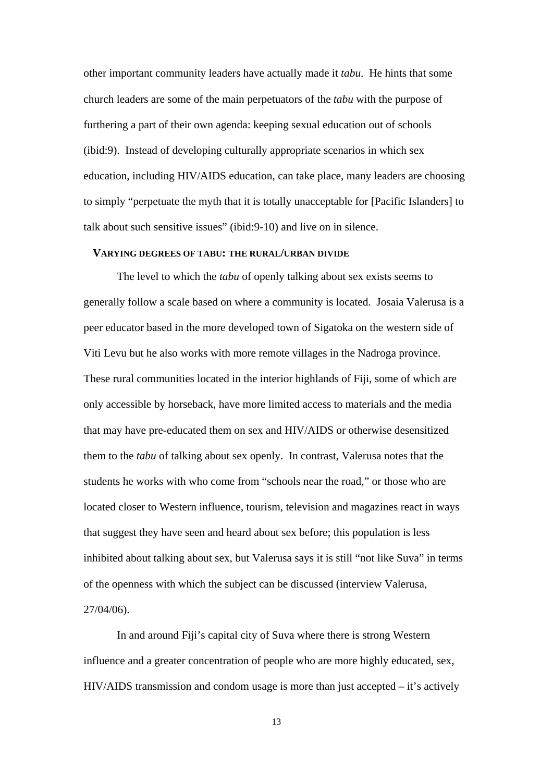other important community leaders have actually made it *tabu*. He hints that some church leaders are some of the main perpetuators of the *tabu* with the purpose of furthering a part of their own agenda: keeping sexual education out of schools (ibid:9). Instead of developing culturally appropriate scenarios in which sex education, including HIV/AIDS education, can take place, many leaders are choosing to simply "perpetuate the myth that it is totally unacceptable for [Pacific Islanders] to talk about such sensitive issues" (ibid:9-10) and live on in silence.

#### **VARYING DEGREES OF TABU: THE RURAL/URBAN DIVIDE**

The level to which the *tabu* of openly talking about sex exists seems to generally follow a scale based on where a community is located. Josaia Valerusa is a peer educator based in the more developed town of Sigatoka on the western side of Viti Levu but he also works with more remote villages in the Nadroga province. These rural communities located in the interior highlands of Fiji, some of which are only accessible by horseback, have more limited access to materials and the media that may have pre-educated them on sex and HIV/AIDS or otherwise desensitized them to the *tabu* of talking about sex openly. In contrast, Valerusa notes that the students he works with who come from "schools near the road," or those who are located closer to Western influence, tourism, television and magazines react in ways that suggest they have seen and heard about sex before; this population is less inhibited about talking about sex, but Valerusa says it is still "not like Suva" in terms of the openness with which the subject can be discussed (interview Valerusa, 27/04/06).

In and around Fiji's capital city of Suva where there is strong Western influence and a greater concentration of people who are more highly educated, sex, HIV/AIDS transmission and condom usage is more than just accepted – it's actively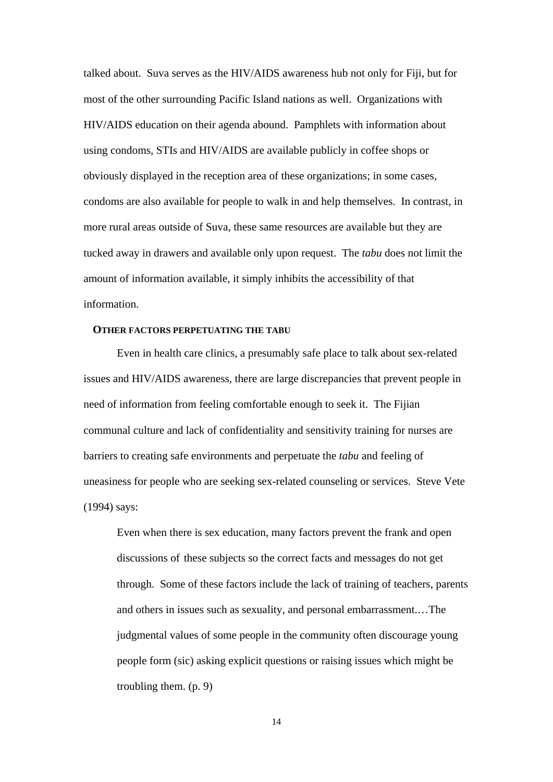talked about. Suva serves as the HIV/AIDS awareness hub not only for Fiji, but for most of the other surrounding Pacific Island nations as well. Organizations with HIV/AIDS education on their agenda abound. Pamphlets with information about using condoms, STIs and HIV/AIDS are available publicly in coffee shops or obviously displayed in the reception area of these organizations; in some cases, condoms are also available for people to walk in and help themselves. In contrast, in more rural areas outside of Suva, these same resources are available but they are tucked away in drawers and available only upon request. The *tabu* does not limit the amount of information available, it simply inhibits the accessibility of that information.

#### **OTHER FACTORS PERPETUATING THE TABU**

 Even in health care clinics, a presumably safe place to talk about sex-related issues and HIV/AIDS awareness, there are large discrepancies that prevent people in need of information from feeling comfortable enough to seek it. The Fijian communal culture and lack of confidentiality and sensitivity training for nurses are barriers to creating safe environments and perpetuate the *tabu* and feeling of uneasiness for people who are seeking sex-related counseling or services. Steve Vete (1994) says:

Even when there is sex education, many factors prevent the frank and open discussions of these subjects so the correct facts and messages do not get through. Some of these factors include the lack of training of teachers, parents and others in issues such as sexuality, and personal embarrassment.…The judgmental values of some people in the community often discourage young people form (sic) asking explicit questions or raising issues which might be troubling them. (p. 9)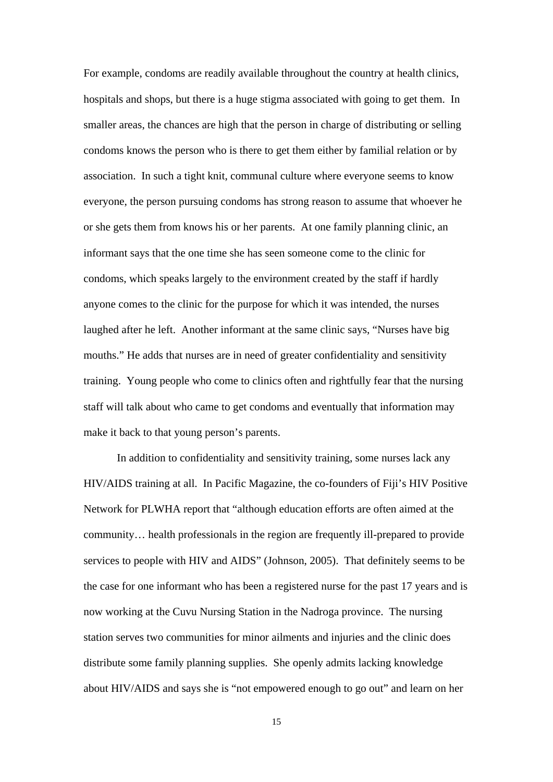For example, condoms are readily available throughout the country at health clinics, hospitals and shops, but there is a huge stigma associated with going to get them. In smaller areas, the chances are high that the person in charge of distributing or selling condoms knows the person who is there to get them either by familial relation or by association. In such a tight knit, communal culture where everyone seems to know everyone, the person pursuing condoms has strong reason to assume that whoever he or she gets them from knows his or her parents. At one family planning clinic, an informant says that the one time she has seen someone come to the clinic for condoms, which speaks largely to the environment created by the staff if hardly anyone comes to the clinic for the purpose for which it was intended, the nurses laughed after he left. Another informant at the same clinic says, "Nurses have big mouths." He adds that nurses are in need of greater confidentiality and sensitivity training. Young people who come to clinics often and rightfully fear that the nursing staff will talk about who came to get condoms and eventually that information may make it back to that young person's parents.

 In addition to confidentiality and sensitivity training, some nurses lack any HIV/AIDS training at all. In Pacific Magazine, the co-founders of Fiji's HIV Positive Network for PLWHA report that "although education efforts are often aimed at the community… health professionals in the region are frequently ill-prepared to provide services to people with HIV and AIDS" (Johnson, 2005). That definitely seems to be the case for one informant who has been a registered nurse for the past 17 years and is now working at the Cuvu Nursing Station in the Nadroga province. The nursing station serves two communities for minor ailments and injuries and the clinic does distribute some family planning supplies. She openly admits lacking knowledge about HIV/AIDS and says she is "not empowered enough to go out" and learn on her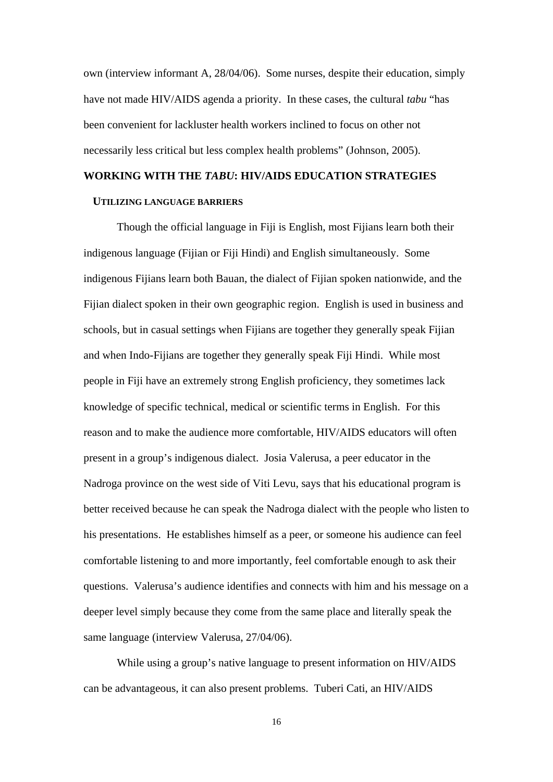own (interview informant A, 28/04/06). Some nurses, despite their education, simply have not made HIV/AIDS agenda a priority. In these cases, the cultural *tabu* "has been convenient for lackluster health workers inclined to focus on other not necessarily less critical but less complex health problems" (Johnson, 2005).

#### **WORKING WITH THE** *TABU***: HIV/AIDS EDUCATION STRATEGIES**

#### **UTILIZING LANGUAGE BARRIERS**

Though the official language in Fiji is English, most Fijians learn both their indigenous language (Fijian or Fiji Hindi) and English simultaneously. Some indigenous Fijians learn both Bauan, the dialect of Fijian spoken nationwide, and the Fijian dialect spoken in their own geographic region. English is used in business and schools, but in casual settings when Fijians are together they generally speak Fijian and when Indo-Fijians are together they generally speak Fiji Hindi. While most people in Fiji have an extremely strong English proficiency, they sometimes lack knowledge of specific technical, medical or scientific terms in English. For this reason and to make the audience more comfortable, HIV/AIDS educators will often present in a group's indigenous dialect. Josia Valerusa, a peer educator in the Nadroga province on the west side of Viti Levu, says that his educational program is better received because he can speak the Nadroga dialect with the people who listen to his presentations. He establishes himself as a peer, or someone his audience can feel comfortable listening to and more importantly, feel comfortable enough to ask their questions. Valerusa's audience identifies and connects with him and his message on a deeper level simply because they come from the same place and literally speak the same language (interview Valerusa, 27/04/06).

 While using a group's native language to present information on HIV/AIDS can be advantageous, it can also present problems. Tuberi Cati, an HIV/AIDS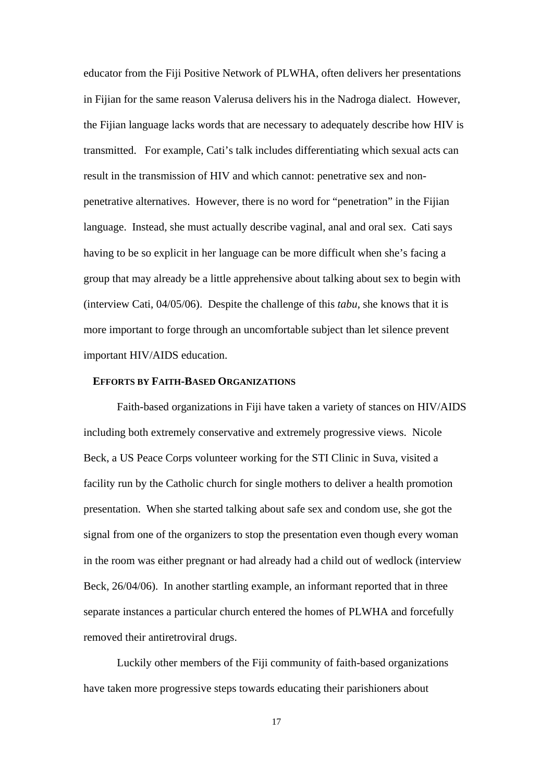educator from the Fiji Positive Network of PLWHA, often delivers her presentations in Fijian for the same reason Valerusa delivers his in the Nadroga dialect. However, the Fijian language lacks words that are necessary to adequately describe how HIV is transmitted. For example, Cati's talk includes differentiating which sexual acts can result in the transmission of HIV and which cannot: penetrative sex and nonpenetrative alternatives. However, there is no word for "penetration" in the Fijian language. Instead, she must actually describe vaginal, anal and oral sex. Cati says having to be so explicit in her language can be more difficult when she's facing a group that may already be a little apprehensive about talking about sex to begin with (interview Cati, 04/05/06). Despite the challenge of this *tabu*, she knows that it is more important to forge through an uncomfortable subject than let silence prevent important HIV/AIDS education.

#### **EFFORTS BY FAITH-BASED ORGANIZATIONS**

 Faith-based organizations in Fiji have taken a variety of stances on HIV/AIDS including both extremely conservative and extremely progressive views. Nicole Beck, a US Peace Corps volunteer working for the STI Clinic in Suva, visited a facility run by the Catholic church for single mothers to deliver a health promotion presentation. When she started talking about safe sex and condom use, she got the signal from one of the organizers to stop the presentation even though every woman in the room was either pregnant or had already had a child out of wedlock (interview Beck, 26/04/06). In another startling example, an informant reported that in three separate instances a particular church entered the homes of PLWHA and forcefully removed their antiretroviral drugs.

 Luckily other members of the Fiji community of faith-based organizations have taken more progressive steps towards educating their parishioners about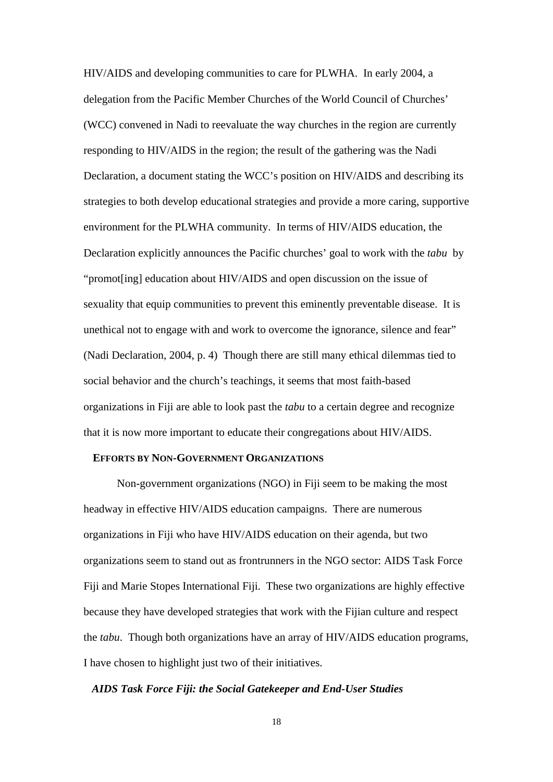HIV/AIDS and developing communities to care for PLWHA. In early 2004, a delegation from the Pacific Member Churches of the World Council of Churches' (WCC) convened in Nadi to reevaluate the way churches in the region are currently responding to HIV/AIDS in the region; the result of the gathering was the Nadi Declaration, a document stating the WCC's position on HIV/AIDS and describing its strategies to both develop educational strategies and provide a more caring, supportive environment for the PLWHA community. In terms of HIV/AIDS education, the Declaration explicitly announces the Pacific churches' goal to work with the *tabu* by "promot[ing] education about HIV/AIDS and open discussion on the issue of sexuality that equip communities to prevent this eminently preventable disease. It is unethical not to engage with and work to overcome the ignorance, silence and fear" (Nadi Declaration, 2004, p. 4) Though there are still many ethical dilemmas tied to social behavior and the church's teachings, it seems that most faith-based organizations in Fiji are able to look past the *tabu* to a certain degree and recognize that it is now more important to educate their congregations about HIV/AIDS.

#### **EFFORTS BY NON-GOVERNMENT ORGANIZATIONS**

 Non-government organizations (NGO) in Fiji seem to be making the most headway in effective HIV/AIDS education campaigns. There are numerous organizations in Fiji who have HIV/AIDS education on their agenda, but two organizations seem to stand out as frontrunners in the NGO sector: AIDS Task Force Fiji and Marie Stopes International Fiji. These two organizations are highly effective because they have developed strategies that work with the Fijian culture and respect the *tabu*. Though both organizations have an array of HIV/AIDS education programs, I have chosen to highlight just two of their initiatives.

#### *AIDS Task Force Fiji: the Social Gatekeeper and End-User Studies*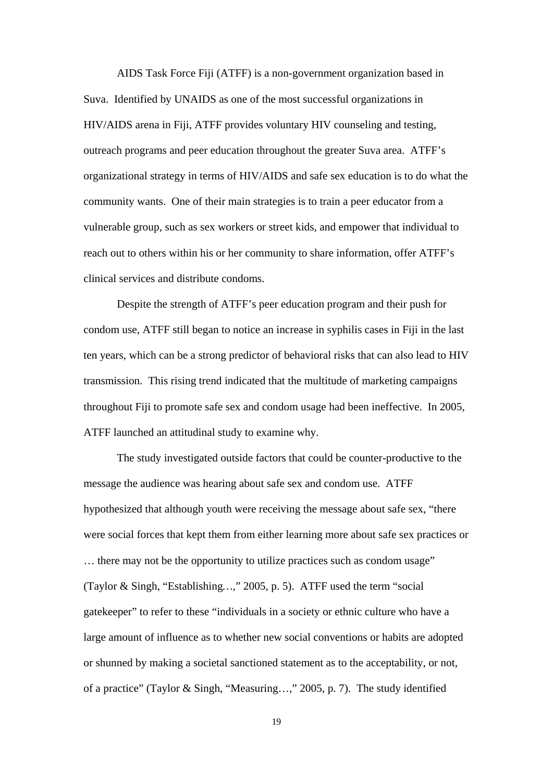AIDS Task Force Fiji (ATFF) is a non-government organization based in Suva. Identified by UNAIDS as one of the most successful organizations in HIV/AIDS arena in Fiji, ATFF provides voluntary HIV counseling and testing, outreach programs and peer education throughout the greater Suva area. ATFF's organizational strategy in terms of HIV/AIDS and safe sex education is to do what the community wants. One of their main strategies is to train a peer educator from a vulnerable group, such as sex workers or street kids, and empower that individual to reach out to others within his or her community to share information, offer ATFF's clinical services and distribute condoms.

Despite the strength of ATFF's peer education program and their push for condom use, ATFF still began to notice an increase in syphilis cases in Fiji in the last ten years, which can be a strong predictor of behavioral risks that can also lead to HIV transmission. This rising trend indicated that the multitude of marketing campaigns throughout Fiji to promote safe sex and condom usage had been ineffective. In 2005, ATFF launched an attitudinal study to examine why.

The study investigated outside factors that could be counter-productive to the message the audience was hearing about safe sex and condom use. ATFF hypothesized that although youth were receiving the message about safe sex, "there were social forces that kept them from either learning more about safe sex practices or … there may not be the opportunity to utilize practices such as condom usage" (Taylor & Singh, "Establishing*…*," 2005, p. 5). ATFF used the term "social gatekeeper" to refer to these "individuals in a society or ethnic culture who have a large amount of influence as to whether new social conventions or habits are adopted or shunned by making a societal sanctioned statement as to the acceptability, or not, of a practice" (Taylor & Singh, "Measuring…," 2005, p. 7). The study identified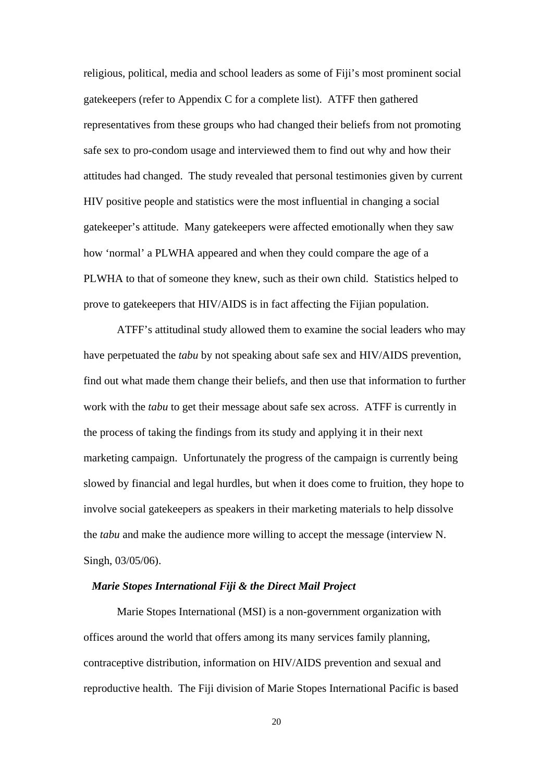religious, political, media and school leaders as some of Fiji's most prominent social gatekeepers (refer to Appendix C for a complete list). ATFF then gathered representatives from these groups who had changed their beliefs from not promoting safe sex to pro-condom usage and interviewed them to find out why and how their attitudes had changed. The study revealed that personal testimonies given by current HIV positive people and statistics were the most influential in changing a social gatekeeper's attitude. Many gatekeepers were affected emotionally when they saw how 'normal' a PLWHA appeared and when they could compare the age of a PLWHA to that of someone they knew, such as their own child. Statistics helped to prove to gatekeepers that HIV/AIDS is in fact affecting the Fijian population.

ATFF's attitudinal study allowed them to examine the social leaders who may have perpetuated the *tabu* by not speaking about safe sex and HIV/AIDS prevention, find out what made them change their beliefs, and then use that information to further work with the *tabu* to get their message about safe sex across. ATFF is currently in the process of taking the findings from its study and applying it in their next marketing campaign. Unfortunately the progress of the campaign is currently being slowed by financial and legal hurdles, but when it does come to fruition, they hope to involve social gatekeepers as speakers in their marketing materials to help dissolve the *tabu* and make the audience more willing to accept the message (interview N. Singh, 03/05/06).

#### *Marie Stopes International Fiji & the Direct Mail Project*

 Marie Stopes International (MSI) is a non-government organization with offices around the world that offers among its many services family planning, contraceptive distribution, information on HIV/AIDS prevention and sexual and reproductive health. The Fiji division of Marie Stopes International Pacific is based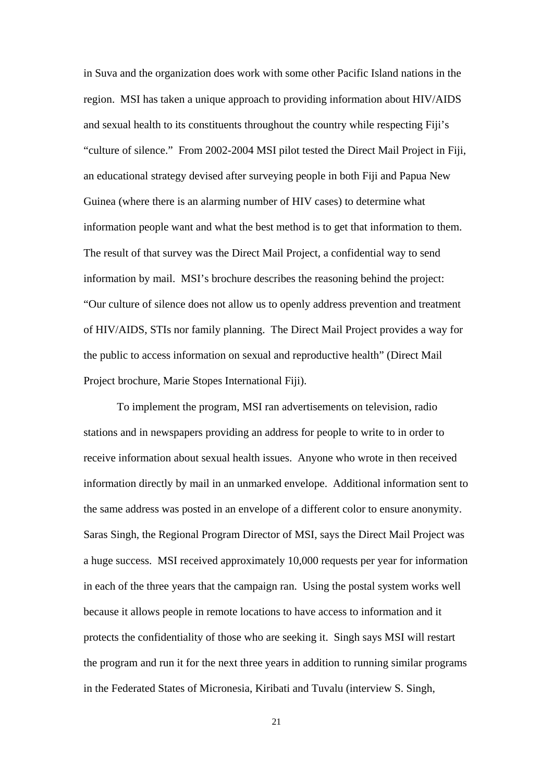in Suva and the organization does work with some other Pacific Island nations in the region. MSI has taken a unique approach to providing information about HIV/AIDS and sexual health to its constituents throughout the country while respecting Fiji's "culture of silence." From 2002-2004 MSI pilot tested the Direct Mail Project in Fiji, an educational strategy devised after surveying people in both Fiji and Papua New Guinea (where there is an alarming number of HIV cases) to determine what information people want and what the best method is to get that information to them. The result of that survey was the Direct Mail Project, a confidential way to send information by mail. MSI's brochure describes the reasoning behind the project: "Our culture of silence does not allow us to openly address prevention and treatment of HIV/AIDS, STIs nor family planning. The Direct Mail Project provides a way for the public to access information on sexual and reproductive health" (Direct Mail Project brochure, Marie Stopes International Fiji).

 To implement the program, MSI ran advertisements on television, radio stations and in newspapers providing an address for people to write to in order to receive information about sexual health issues. Anyone who wrote in then received information directly by mail in an unmarked envelope. Additional information sent to the same address was posted in an envelope of a different color to ensure anonymity. Saras Singh, the Regional Program Director of MSI, says the Direct Mail Project was a huge success. MSI received approximately 10,000 requests per year for information in each of the three years that the campaign ran. Using the postal system works well because it allows people in remote locations to have access to information and it protects the confidentiality of those who are seeking it. Singh says MSI will restart the program and run it for the next three years in addition to running similar programs in the Federated States of Micronesia, Kiribati and Tuvalu (interview S. Singh,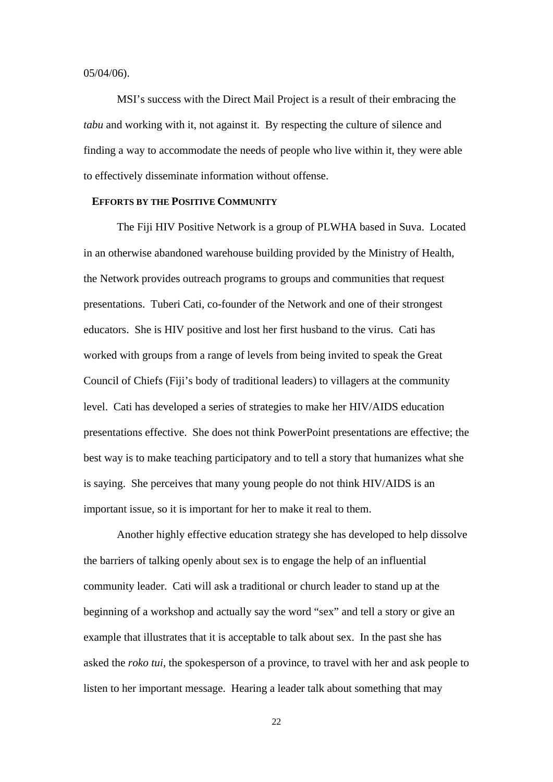05/04/06).

 MSI's success with the Direct Mail Project is a result of their embracing the *tabu* and working with it, not against it. By respecting the culture of silence and finding a way to accommodate the needs of people who live within it, they were able to effectively disseminate information without offense.

#### **EFFORTS BY THE POSITIVE COMMUNITY**

The Fiji HIV Positive Network is a group of PLWHA based in Suva. Located in an otherwise abandoned warehouse building provided by the Ministry of Health, the Network provides outreach programs to groups and communities that request presentations. Tuberi Cati, co-founder of the Network and one of their strongest educators. She is HIV positive and lost her first husband to the virus. Cati has worked with groups from a range of levels from being invited to speak the Great Council of Chiefs (Fiji's body of traditional leaders) to villagers at the community level. Cati has developed a series of strategies to make her HIV/AIDS education presentations effective. She does not think PowerPoint presentations are effective; the best way is to make teaching participatory and to tell a story that humanizes what she is saying. She perceives that many young people do not think HIV/AIDS is an important issue, so it is important for her to make it real to them.

 Another highly effective education strategy she has developed to help dissolve the barriers of talking openly about sex is to engage the help of an influential community leader. Cati will ask a traditional or church leader to stand up at the beginning of a workshop and actually say the word "sex" and tell a story or give an example that illustrates that it is acceptable to talk about sex. In the past she has asked the *roko tui*, the spokesperson of a province, to travel with her and ask people to listen to her important message. Hearing a leader talk about something that may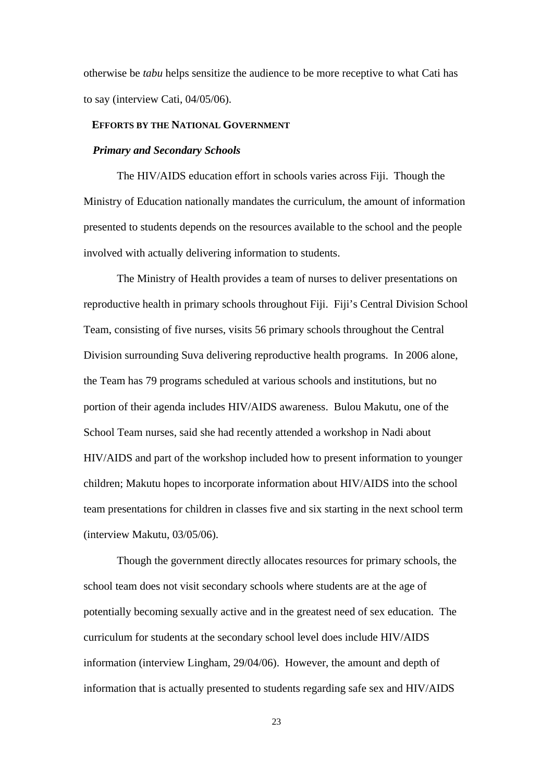otherwise be *tabu* helps sensitize the audience to be more receptive to what Cati has to say (interview Cati, 04/05/06).

#### **EFFORTS BY THE NATIONAL GOVERNMENT**

#### *Primary and Secondary Schools*

The HIV/AIDS education effort in schools varies across Fiji. Though the Ministry of Education nationally mandates the curriculum, the amount of information presented to students depends on the resources available to the school and the people involved with actually delivering information to students.

The Ministry of Health provides a team of nurses to deliver presentations on reproductive health in primary schools throughout Fiji. Fiji's Central Division School Team, consisting of five nurses, visits 56 primary schools throughout the Central Division surrounding Suva delivering reproductive health programs. In 2006 alone, the Team has 79 programs scheduled at various schools and institutions, but no portion of their agenda includes HIV/AIDS awareness. Bulou Makutu, one of the School Team nurses, said she had recently attended a workshop in Nadi about HIV/AIDS and part of the workshop included how to present information to younger children; Makutu hopes to incorporate information about HIV/AIDS into the school team presentations for children in classes five and six starting in the next school term (interview Makutu, 03/05/06).

Though the government directly allocates resources for primary schools, the school team does not visit secondary schools where students are at the age of potentially becoming sexually active and in the greatest need of sex education. The curriculum for students at the secondary school level does include HIV/AIDS information (interview Lingham, 29/04/06). However, the amount and depth of information that is actually presented to students regarding safe sex and HIV/AIDS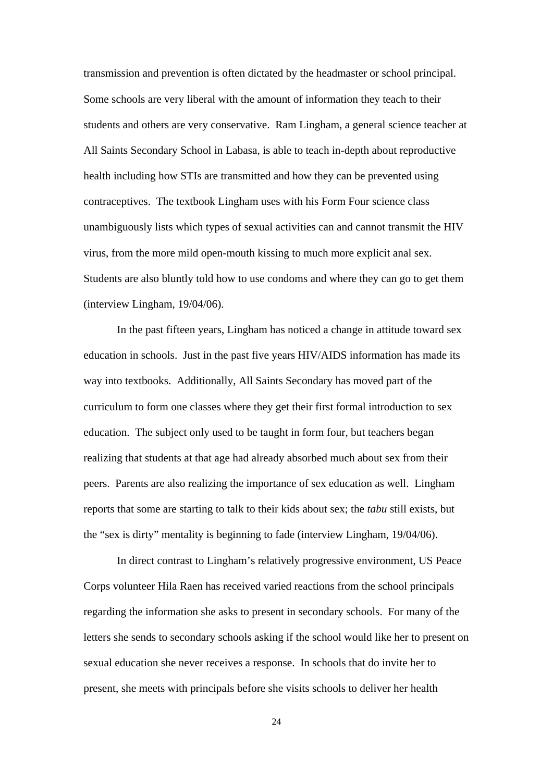transmission and prevention is often dictated by the headmaster or school principal. Some schools are very liberal with the amount of information they teach to their students and others are very conservative. Ram Lingham, a general science teacher at All Saints Secondary School in Labasa, is able to teach in-depth about reproductive health including how STIs are transmitted and how they can be prevented using contraceptives. The textbook Lingham uses with his Form Four science class unambiguously lists which types of sexual activities can and cannot transmit the HIV virus, from the more mild open-mouth kissing to much more explicit anal sex. Students are also bluntly told how to use condoms and where they can go to get them (interview Lingham, 19/04/06).

In the past fifteen years, Lingham has noticed a change in attitude toward sex education in schools. Just in the past five years HIV/AIDS information has made its way into textbooks. Additionally, All Saints Secondary has moved part of the curriculum to form one classes where they get their first formal introduction to sex education. The subject only used to be taught in form four, but teachers began realizing that students at that age had already absorbed much about sex from their peers. Parents are also realizing the importance of sex education as well. Lingham reports that some are starting to talk to their kids about sex; the *tabu* still exists, but the "sex is dirty" mentality is beginning to fade (interview Lingham, 19/04/06).

In direct contrast to Lingham's relatively progressive environment, US Peace Corps volunteer Hila Raen has received varied reactions from the school principals regarding the information she asks to present in secondary schools. For many of the letters she sends to secondary schools asking if the school would like her to present on sexual education she never receives a response. In schools that do invite her to present, she meets with principals before she visits schools to deliver her health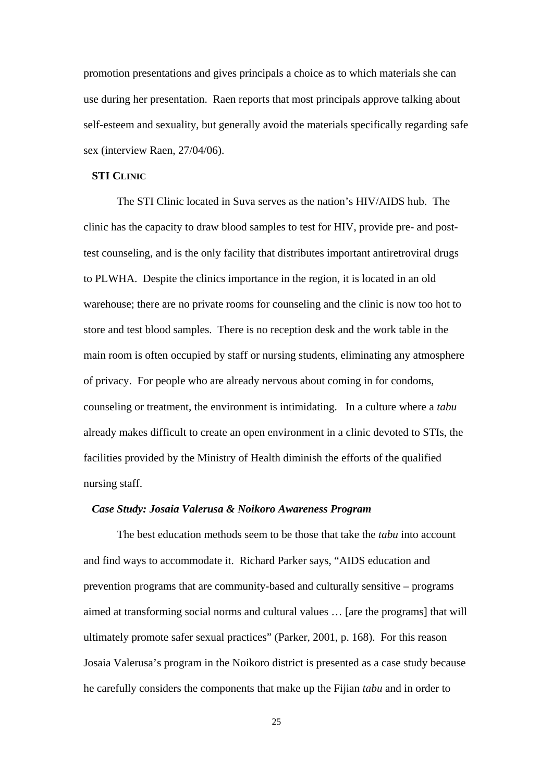promotion presentations and gives principals a choice as to which materials she can use during her presentation. Raen reports that most principals approve talking about self-esteem and sexuality, but generally avoid the materials specifically regarding safe sex (interview Raen, 27/04/06).

#### **STI CLINIC**

The STI Clinic located in Suva serves as the nation's HIV/AIDS hub. The clinic has the capacity to draw blood samples to test for HIV, provide pre- and posttest counseling, and is the only facility that distributes important antiretroviral drugs to PLWHA. Despite the clinics importance in the region, it is located in an old warehouse; there are no private rooms for counseling and the clinic is now too hot to store and test blood samples. There is no reception desk and the work table in the main room is often occupied by staff or nursing students, eliminating any atmosphere of privacy. For people who are already nervous about coming in for condoms, counseling or treatment, the environment is intimidating. In a culture where a *tabu*  already makes difficult to create an open environment in a clinic devoted to STIs, the facilities provided by the Ministry of Health diminish the efforts of the qualified nursing staff.

#### *Case Study: Josaia Valerusa & Noikoro Awareness Program*

The best education methods seem to be those that take the *tabu* into account and find ways to accommodate it. Richard Parker says, "AIDS education and prevention programs that are community-based and culturally sensitive – programs aimed at transforming social norms and cultural values … [are the programs] that will ultimately promote safer sexual practices" (Parker, 2001, p. 168). For this reason Josaia Valerusa's program in the Noikoro district is presented as a case study because he carefully considers the components that make up the Fijian *tabu* and in order to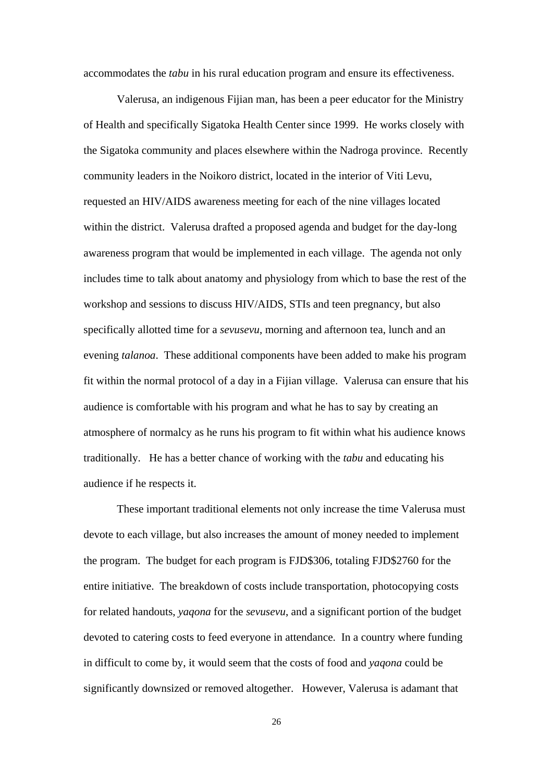accommodates the *tabu* in his rural education program and ensure its effectiveness.

Valerusa, an indigenous Fijian man, has been a peer educator for the Ministry of Health and specifically Sigatoka Health Center since 1999. He works closely with the Sigatoka community and places elsewhere within the Nadroga province. Recently community leaders in the Noikoro district, located in the interior of Viti Levu, requested an HIV/AIDS awareness meeting for each of the nine villages located within the district. Valerusa drafted a proposed agenda and budget for the day-long awareness program that would be implemented in each village. The agenda not only includes time to talk about anatomy and physiology from which to base the rest of the workshop and sessions to discuss HIV/AIDS, STIs and teen pregnancy, but also specifically allotted time for a *sevusevu*, morning and afternoon tea, lunch and an evening *talanoa*. These additional components have been added to make his program fit within the normal protocol of a day in a Fijian village. Valerusa can ensure that his audience is comfortable with his program and what he has to say by creating an atmosphere of normalcy as he runs his program to fit within what his audience knows traditionally. He has a better chance of working with the *tabu* and educating his audience if he respects it.

These important traditional elements not only increase the time Valerusa must devote to each village, but also increases the amount of money needed to implement the program. The budget for each program is FJD\$306, totaling FJD\$2760 for the entire initiative. The breakdown of costs include transportation, photocopying costs for related handouts, *yaqona* for the *sevusevu*, and a significant portion of the budget devoted to catering costs to feed everyone in attendance. In a country where funding in difficult to come by, it would seem that the costs of food and *yaqona* could be significantly downsized or removed altogether. However, Valerusa is adamant that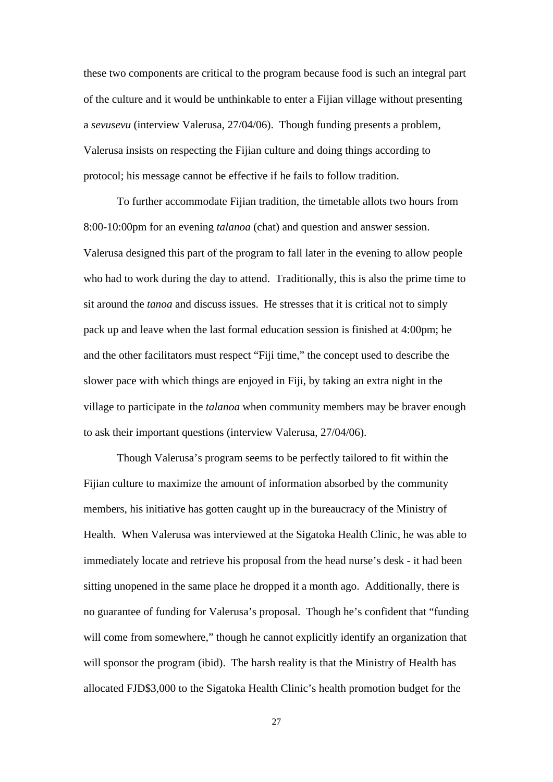these two components are critical to the program because food is such an integral part of the culture and it would be unthinkable to enter a Fijian village without presenting a *sevusevu* (interview Valerusa, 27/04/06). Though funding presents a problem, Valerusa insists on respecting the Fijian culture and doing things according to protocol; his message cannot be effective if he fails to follow tradition.

 To further accommodate Fijian tradition, the timetable allots two hours from 8:00-10:00pm for an evening *talanoa* (chat) and question and answer session. Valerusa designed this part of the program to fall later in the evening to allow people who had to work during the day to attend. Traditionally, this is also the prime time to sit around the *tanoa* and discuss issues. He stresses that it is critical not to simply pack up and leave when the last formal education session is finished at 4:00pm; he and the other facilitators must respect "Fiji time," the concept used to describe the slower pace with which things are enjoyed in Fiji, by taking an extra night in the village to participate in the *talanoa* when community members may be braver enough to ask their important questions (interview Valerusa, 27/04/06).

 Though Valerusa's program seems to be perfectly tailored to fit within the Fijian culture to maximize the amount of information absorbed by the community members, his initiative has gotten caught up in the bureaucracy of the Ministry of Health. When Valerusa was interviewed at the Sigatoka Health Clinic, he was able to immediately locate and retrieve his proposal from the head nurse's desk - it had been sitting unopened in the same place he dropped it a month ago. Additionally, there is no guarantee of funding for Valerusa's proposal. Though he's confident that "funding will come from somewhere," though he cannot explicitly identify an organization that will sponsor the program (ibid). The harsh reality is that the Ministry of Health has allocated FJD\$3,000 to the Sigatoka Health Clinic's health promotion budget for the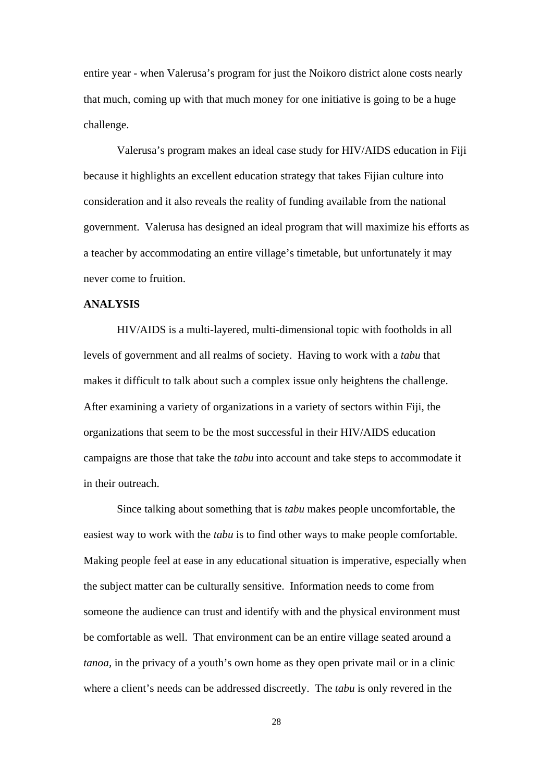entire year - when Valerusa's program for just the Noikoro district alone costs nearly that much, coming up with that much money for one initiative is going to be a huge challenge.

 Valerusa's program makes an ideal case study for HIV/AIDS education in Fiji because it highlights an excellent education strategy that takes Fijian culture into consideration and it also reveals the reality of funding available from the national government. Valerusa has designed an ideal program that will maximize his efforts as a teacher by accommodating an entire village's timetable, but unfortunately it may never come to fruition.

#### **ANALYSIS**

HIV/AIDS is a multi-layered, multi-dimensional topic with footholds in all levels of government and all realms of society. Having to work with a *tabu* that makes it difficult to talk about such a complex issue only heightens the challenge. After examining a variety of organizations in a variety of sectors within Fiji, the organizations that seem to be the most successful in their HIV/AIDS education campaigns are those that take the *tabu* into account and take steps to accommodate it in their outreach.

Since talking about something that is *tabu* makes people uncomfortable, the easiest way to work with the *tabu* is to find other ways to make people comfortable. Making people feel at ease in any educational situation is imperative, especially when the subject matter can be culturally sensitive. Information needs to come from someone the audience can trust and identify with and the physical environment must be comfortable as well. That environment can be an entire village seated around a *tanoa,* in the privacy of a youth's own home as they open private mail or in a clinic where a client's needs can be addressed discreetly. The *tabu* is only revered in the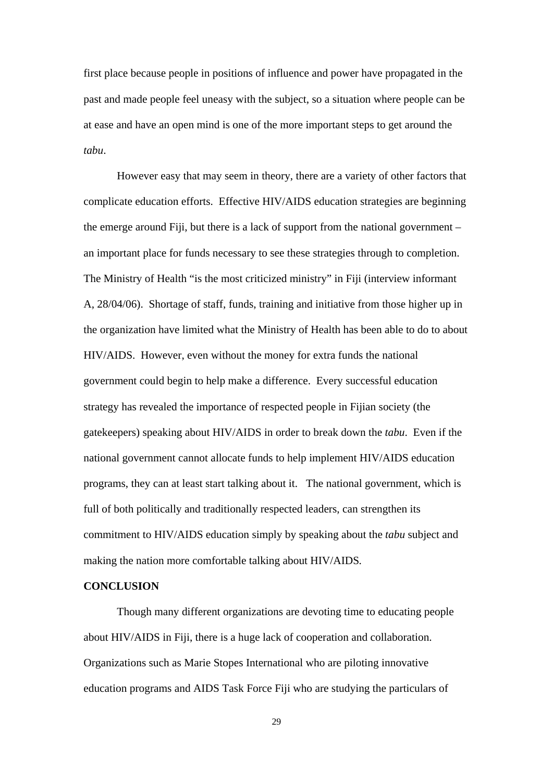first place because people in positions of influence and power have propagated in the past and made people feel uneasy with the subject, so a situation where people can be at ease and have an open mind is one of the more important steps to get around the *tabu*.

However easy that may seem in theory, there are a variety of other factors that complicate education efforts. Effective HIV/AIDS education strategies are beginning the emerge around Fiji, but there is a lack of support from the national government – an important place for funds necessary to see these strategies through to completion. The Ministry of Health "is the most criticized ministry" in Fiji (interview informant A, 28/04/06). Shortage of staff, funds, training and initiative from those higher up in the organization have limited what the Ministry of Health has been able to do to about HIV/AIDS. However, even without the money for extra funds the national government could begin to help make a difference. Every successful education strategy has revealed the importance of respected people in Fijian society (the gatekeepers) speaking about HIV/AIDS in order to break down the *tabu*. Even if the national government cannot allocate funds to help implement HIV/AIDS education programs, they can at least start talking about it. The national government, which is full of both politically and traditionally respected leaders, can strengthen its commitment to HIV/AIDS education simply by speaking about the *tabu* subject and making the nation more comfortable talking about HIV/AIDS*.* 

#### **CONCLUSION**

 Though many different organizations are devoting time to educating people about HIV/AIDS in Fiji, there is a huge lack of cooperation and collaboration. Organizations such as Marie Stopes International who are piloting innovative education programs and AIDS Task Force Fiji who are studying the particulars of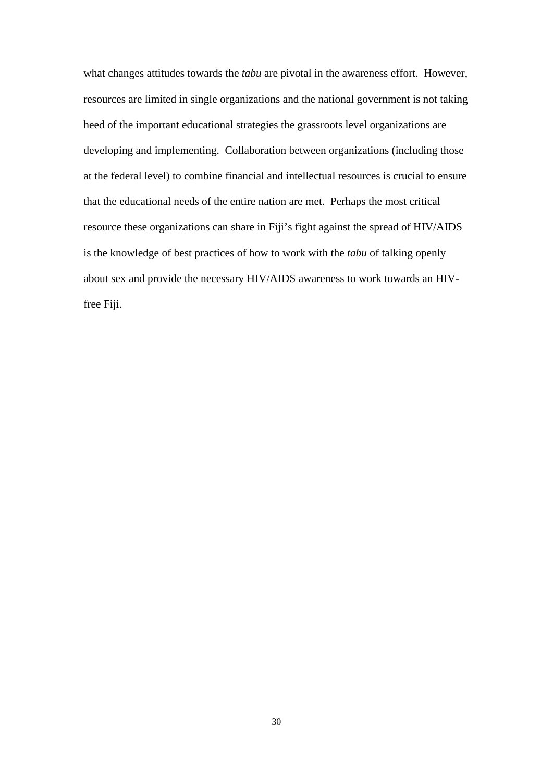what changes attitudes towards the *tabu* are pivotal in the awareness effort. However, resources are limited in single organizations and the national government is not taking heed of the important educational strategies the grassroots level organizations are developing and implementing. Collaboration between organizations (including those at the federal level) to combine financial and intellectual resources is crucial to ensure that the educational needs of the entire nation are met. Perhaps the most critical resource these organizations can share in Fiji's fight against the spread of HIV/AIDS is the knowledge of best practices of how to work with the *tabu* of talking openly about sex and provide the necessary HIV/AIDS awareness to work towards an HIVfree Fiji.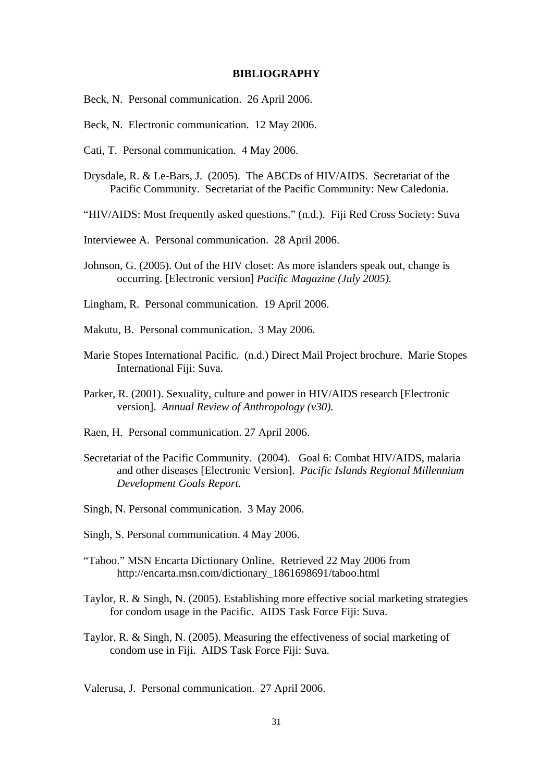#### **BIBLIOGRAPHY**

- Beck, N. Personal communication. 26 April 2006.
- Beck, N. Electronic communication. 12 May 2006.
- Cati, T. Personal communication. 4 May 2006.
- Drysdale, R. & Le-Bars, J. (2005). The ABCDs of HIV/AIDS. Secretariat of the Pacific Community. Secretariat of the Pacific Community: New Caledonia.
- "HIV/AIDS: Most frequently asked questions." (n.d.). Fiji Red Cross Society: Suva
- Interviewee A. Personal communication. 28 April 2006.
- Johnson, G. (2005). Out of the HIV closet: As more islanders speak out, change is occurring. [Electronic version] *Pacific Magazine (July 2005).*
- Lingham, R. Personal communication. 19 April 2006.
- Makutu, B. Personal communication. 3 May 2006.
- Marie Stopes International Pacific. (n.d.) Direct Mail Project brochure. Marie Stopes International Fiji: Suva.
- Parker, R. (2001). Sexuality, culture and power in HIV/AIDS research [Electronic version]. *Annual Review of Anthropology (v30).*
- Raen, H. Personal communication. 27 April 2006.
- Secretariat of the Pacific Community. (2004). Goal 6: Combat HIV/AIDS, malaria and other diseases [Electronic Version]. *Pacific Islands Regional Millennium Development Goals Report.*
- Singh, N. Personal communication. 3 May 2006.
- Singh, S. Personal communication. 4 May 2006.
- "Taboo." MSN Encarta Dictionary Online. Retrieved 22 May 2006 from http://encarta.msn.com/dictionary\_1861698691/taboo.html
- Taylor, R. & Singh, N. (2005). Establishing more effective social marketing strategies for condom usage in the Pacific. AIDS Task Force Fiji: Suva.
- Taylor, R. & Singh, N. (2005). Measuring the effectiveness of social marketing of condom use in Fiji. AIDS Task Force Fiji: Suva.

Valerusa, J. Personal communication. 27 April 2006.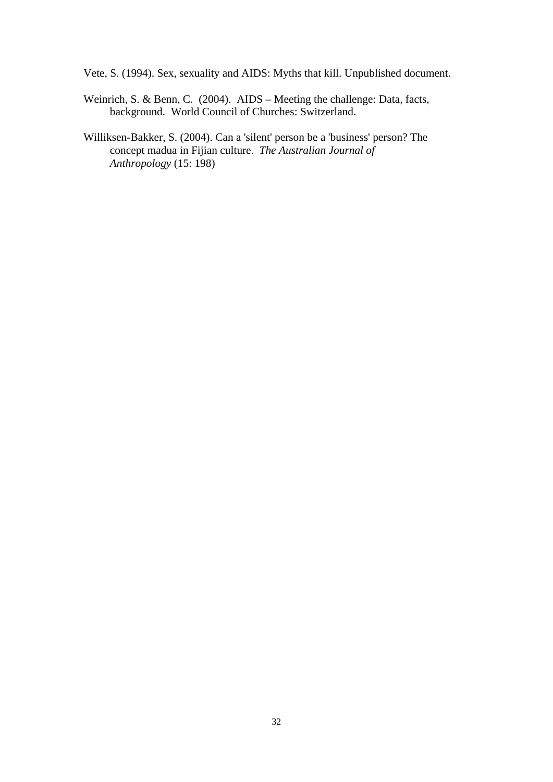Vete, S. (1994). Sex, sexuality and AIDS: Myths that kill. Unpublished document.

- Weinrich, S. & Benn, C. (2004). AIDS Meeting the challenge: Data, facts, background. World Council of Churches: Switzerland.
- Williksen-Bakker, S. (2004). Can a 'silent' person be a 'business' person? The concept madua in Fijian culture. *The Australian Journal of Anthropology* (15: 198)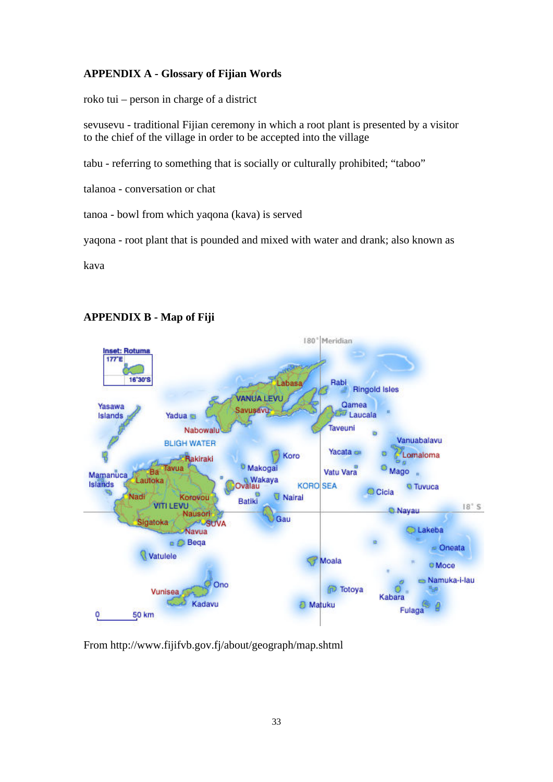### **APPENDIX A - Glossary of Fijian Words**

roko tui – person in charge of a district

sevusevu - traditional Fijian ceremony in which a root plant is presented by a visitor to the chief of the village in order to be accepted into the village

tabu - referring to something that is socially or culturally prohibited; "taboo"

talanoa - conversation or chat

tanoa - bowl from which yaqona (kava) is served

yaqona - root plant that is pounded and mixed with water and drank; also known as

kava



## **APPENDIX B - Map of Fiji**

From http://www.fijifvb.gov.fj/about/geograph/map.shtml